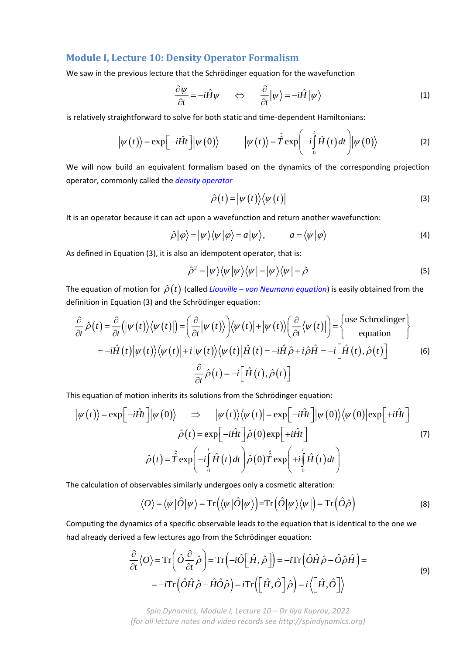# **Module I, Lecture 10: Density Operator Formalism**

We saw in the previous lecture that the Schrödinger equation for the wavefunction

$$
\frac{\partial \psi}{\partial t} = -i\hat{H}\psi \qquad \Longleftrightarrow \qquad \frac{\partial}{\partial t}|\psi\rangle = -i\hat{H}|\psi\rangle \tag{1}
$$

is relatively straightforward to solve for both static and time-dependent Hamiltonians:

$$
\left|\psi(t)\right\rangle = \exp\left[-i\hat{H}t\right] \left|\psi(0)\right\rangle \qquad \left|\psi(t)\right\rangle = \hat{\hat{T}} \exp\left(-i\int_{0}^{t} \hat{H}(t) dt\right) \left|\psi(0)\right\rangle \tag{2}
$$

We will now build an equivalent formalism based on the dynamics of the corresponding projection operator, commonly called the *density operator*

$$
\hat{\rho}(t) = \left| \psi(t) \right\rangle \left\langle \psi(t) \right| \tag{3}
$$

It is an operator because it can act upon a wavefunction and return another wavefunction:

$$
\hat{\rho}|\varphi\rangle = |\psi\rangle\langle\psi|\varphi\rangle = a|\psi\rangle, \qquad a = \langle\psi|\varphi\rangle \tag{4}
$$

As defined in Equation (3), it is also an idempotent operator, that is:

$$
\hat{\rho}^2 = |\psi\rangle\langle\psi|\psi\rangle\langle\psi| = |\psi\rangle\langle\psi| = \hat{\rho}
$$
\n(5)

The equation of motion for  $\hat{\rho}(t)$  (called *Liouville – von Neumann equation*) is easily obtained from the definition in Equation (3) and the Schrödinger equation:

$$
\frac{\partial}{\partial t} \hat{\rho}(t) = \frac{\partial}{\partial t} (|\psi(t)\rangle \langle \psi(t)|) = \left(\frac{\partial}{\partial t} |\psi(t)\rangle \right) \langle \psi(t)| + |\psi(t)\rangle \left(\frac{\partial}{\partial t} \langle \psi(t)|\right) = \begin{cases} \text{use Schrodinger} \\ \text{equation} \end{cases}
$$

$$
= -i\hat{H}(t)|\psi(t)\rangle \langle \psi(t)| + i|\psi(t)\rangle \langle \psi(t)|\hat{H}(t) = -i\hat{H}\hat{\rho} + i\hat{\rho}\hat{H} = -i\left[\hat{H}(t), \hat{\rho}(t)\right]
$$
(6)
$$
\frac{\partial}{\partial t} \hat{\rho}(t) = -i\left[\hat{H}(t), \hat{\rho}(t)\right]
$$

This equation of motion inherits its solutions from the Schrödinger equation:

$$
\left|\psi(t)\right\rangle = \exp\left[-i\hat{H}t\right] \left|\psi(0)\right\rangle \Rightarrow \left|\psi(t)\right\rangle \left\langle\psi(t)\right| = \exp\left[-i\hat{H}t\right] \left|\psi(0)\right\rangle \left\langle\psi(0)\right| \exp\left[+i\hat{H}t\right]
$$

$$
\hat{\rho}(t) = \exp\left[-i\hat{H}t\right] \hat{\rho}(0) \exp\left[+i\hat{H}t\right]
$$

$$
\hat{\rho}(t) = \hat{\hat{T}} \exp\left(-i\int_{0}^{t} \hat{H}(t) dt\right) \hat{\rho}(0) \hat{\hat{T}} \exp\left(+i\int_{0}^{t} \hat{H}(t) dt\right)
$$
(7)

The calculation of observables similarly undergoes only a cosmetic alteration:

$$
\langle O \rangle = \langle \psi | \hat{O} | \psi \rangle = \text{Tr} \left( \langle \psi | \hat{O} | \psi \rangle \right) = \text{Tr} \left( \hat{O} | \psi \rangle \langle \psi | \right) = \text{Tr} \left( \hat{O} \hat{\rho} \right) \tag{8}
$$

Computing the dynamics of a specific observable leads to the equation that is identical to the one we had already derived a few lectures ago from the Schrödinger equation:

$$
\frac{\partial}{\partial t} \langle O \rangle = \text{Tr} \left( \hat{O} \frac{\partial}{\partial t} \hat{\rho} \right) = \text{Tr} \left( -i \hat{O} \Big[ \hat{H}, \hat{\rho} \Big] \right) = -i \text{Tr} \Big( \hat{O} \hat{H} \hat{\rho} - \hat{O} \hat{\rho} \hat{H} \Big) =
$$
\n
$$
= -i \text{Tr} \Big( \hat{O} \hat{H} \hat{\rho} - \hat{H} \hat{O} \hat{\rho} \Big) = i \text{Tr} \Big( \Big[ \hat{H}, \hat{O} \Big] \hat{\rho} \Big) = i \Big\langle \Big[ \hat{H}, \hat{O} \Big] \Big\rangle
$$
\n(9)

*Spin Dynamics, Module I, Lecture 10 – Dr Ilya Kuprov, 2022 (for all lecture notes and video records see http://spindynamics.org)*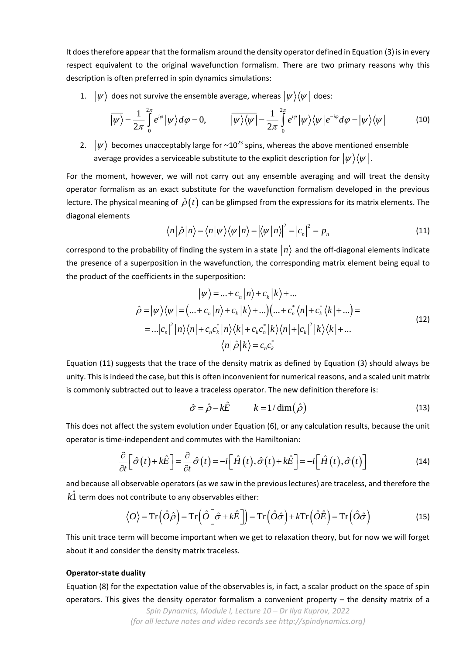It does therefore appear that the formalism around the density operator defined in Equation (3) is in every respect equivalent to the original wavefunction formalism. There are two primary reasons why this description is often preferred in spin dynamics simulations:

1.  $|\psi\rangle$  does not survive the ensemble average, whereas  $|\psi\rangle\langle\psi|$  does:

$$
\overline{|\psi\rangle} = \frac{1}{2\pi} \int_{0}^{2\pi} e^{i\varphi} | \psi \rangle d\varphi = 0, \qquad \overline{|\psi\rangle\langle\psi|} = \frac{1}{2\pi} \int_{0}^{2\pi} e^{i\varphi} | \psi \rangle \langle\psi| e^{-i\varphi} d\varphi = | \psi \rangle \langle\psi| \qquad (10)
$$

2.  $|\psi\rangle$  becomes unacceptably large for ~10<sup>23</sup> spins, whereas the above mentioned ensemble average provides a serviceable substitute to the explicit description for  $|\psi \rangle \langle \psi |$  .

For the moment, however, we will not carry out any ensemble averaging and will treat the density operator formalism as an exact substitute for the wavefunction formalism developed in the previous lecture. The physical meaning of  $\,\hat{\rho}(t)\,$  can be glimpsed from the expressions for its matrix elements. The diagonal elements

$$
\langle n|\hat{\rho}|n\rangle = \langle n|\psi\rangle \langle \psi|n\rangle = |\langle \psi|n\rangle|^2 = |c_n|^2 = p_n \tag{11}
$$

correspond to the probability of finding the system in a state  $\ket{n}$  and the off-diagonal elements indicate the presence of a superposition in the wavefunction, the corresponding matrix element being equal to the product of the coefficients in the superposition:

$$
|\psi\rangle = ... + c_n |n\rangle + c_k |k\rangle + ...
$$
  
\n
$$
\hat{\rho} = |\psi\rangle\langle\psi| = (... + c_n |n\rangle + c_k |k\rangle + ...)(... + c_n^* \langle n| + c_k^* \langle k| + ... ) =
$$
  
\n
$$
= ... |c_n|^2 |n\rangle\langle n| + c_n c_k^* |n\rangle\langle k| + c_k c_n^* |k\rangle\langle n| + |c_k|^2 |k\rangle\langle k| + ...
$$
  
\n
$$
\langle n|\hat{\rho}|k\rangle = c_n c_k^*
$$
\n(12)

Equation (11) suggests that the trace of the density matrix as defined by Equation (3) should always be unity. This is indeed the case, but this is often inconvenient for numerical reasons, and a scaled unit matrix is commonly subtracted out to leave a traceless operator. The new definition therefore is:

$$
\hat{\sigma} = \hat{\rho} - k\hat{E} \qquad k = 1/\dim(\hat{\rho}) \tag{13}
$$

This does not affect the system evolution under Equation (6), or any calculation results, because the unit operator is time-independent and commutes with the Hamiltonian:

$$
\frac{\partial}{\partial t} \Big[ \hat{\sigma}(t) + k \hat{E} \Big] = \frac{\partial}{\partial t} \hat{\sigma}(t) = -i \Big[ \hat{H}(t), \hat{\sigma}(t) + k \hat{E} \Big] = -i \Big[ \hat{H}(t), \hat{\sigma}(t) \Big]
$$
(14)

and because all observable operators (as we saw in the previous lectures) are traceless, and therefore the  $k\hat{1}$  term does not contribute to any observables either:

$$
\langle O \rangle = \text{Tr} \left( \hat{O} \hat{\rho} \right) = \text{Tr} \left( \hat{O} \left[ \hat{\sigma} + k \hat{E} \right] \right) = \text{Tr} \left( \hat{O} \hat{\sigma} \right) + k \text{Tr} \left( \hat{O} \hat{E} \right) = \text{Tr} \left( \hat{O} \hat{\sigma} \right)
$$
(15)

This unit trace term will become important when we get to relaxation theory, but for now we will forget about it and consider the density matrix traceless.

## **Operator-state duality**

Equation (8) for the expectation value of the observables is, in fact, a scalar product on the space of spin operators. This gives the density operator formalism a convenient property – the density matrix of a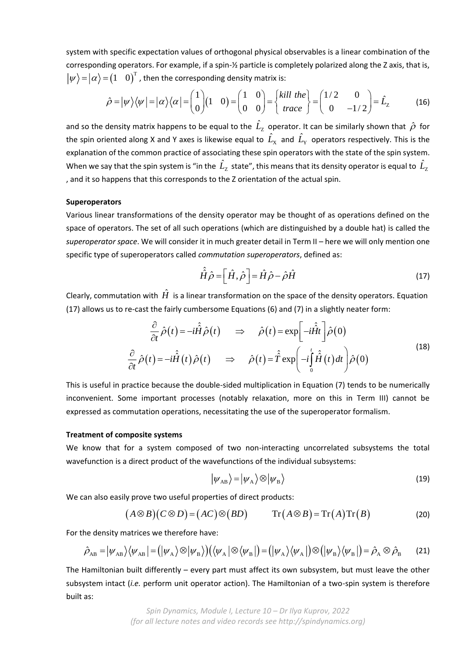system with specific expectation values of orthogonal physical observables is a linear combination of the corresponding operators. For example, if a spin-½ particle is completely polarized along the Z axis, that is,  $\ket{\psi}\!=\!\ket{\alpha}\!=\!\left(1\!-\!0\right)^{\!\mathrm{T}}$  , then the corresponding density matrix is:

$$
\hat{\rho} = |\psi\rangle\langle\psi| = |\alpha\rangle\langle\alpha| = \begin{pmatrix} 1 \\ 0 \end{pmatrix} (1 \quad 0) = \begin{pmatrix} 1 & 0 \\ 0 & 0 \end{pmatrix} = \begin{pmatrix} kill \ the \\ trace \end{pmatrix} = \begin{pmatrix} 1/2 & 0 \\ 0 & -1/2 \end{pmatrix} = \hat{L}_z \tag{16}
$$

and so the density matrix happens to be equal to the  $\hat{L}_{z}$  operator. It can be similarly shown that  $\hat{\rho}$  for the spin oriented along X and Y axes is likewise equal to  $\hat{L}_{\rm x}$  and  $\hat{L}_{\rm y}$  operators respectively. This is the explanation of the common practice of associating these spin operators with the state of the spin system. When we say that the spin system is "in the  $\hat{L}_{\rm Z}^{}$  state", this means that its density operator is equal to  $\hat{L}_{\rm Z}^{}$ , and it so happens that this corresponds to the Z orientation of the actual spin.

#### **Superoperators**

Various linear transformations of the density operator may be thought of as operations defined on the space of operators. The set of all such operations (which are distinguished by a double hat) is called the *superoperator space*. We will consider it in much greater detail in Term II – here we will only mention one specific type of superoperators called *commutation superoperators*, defined as:

$$
\hat{\hat{H}}\hat{\rho} = \left[\hat{H}, \hat{\rho}\right] = \hat{H}\hat{\rho} - \hat{\rho}\hat{H}
$$
\n(17)

Clearly, commutation with  $\hat{H}$  is a linear transformation on the space of the density operators. Equation (17) allows us to re-cast the fairly cumbersome Equations (6) and (7) in a slightly neater form:

$$
\frac{\partial}{\partial t}\hat{\rho}(t) = -i\hat{H}\hat{\rho}(t) \implies \hat{\rho}(t) = \exp\left[-i\hat{H}t\right]\hat{\rho}(0)
$$
\n
$$
\frac{\partial}{\partial t}\hat{\rho}(t) = -i\hat{H}(t)\hat{\rho}(t) \implies \hat{\rho}(t) = \hat{T}\exp\left(-i\int_{0}^{t}\hat{H}(t)dt\right)\hat{\rho}(0)
$$
\n(18)

This is useful in practice because the double-sided multiplication in Equation (7) tends to be numerically inconvenient. Some important processes (notably relaxation, more on this in Term III) cannot be expressed as commutation operations, necessitating the use of the superoperator formalism.

#### **Treatment of composite systems**

We know that for a system composed of two non-interacting uncorrelated subsystems the total wavefunction is a direct product of the wavefunctions of the individual subsystems:

$$
|\psi_{AB}\rangle = |\psi_{A}\rangle \otimes |\psi_{B}\rangle
$$
 (19)

We can also easily prove two useful properties of direct products:

$$
(A \otimes B)(C \otimes D) = (AC) \otimes (BD) \qquad \operatorname{Tr}(A \otimes B) = \operatorname{Tr}(A) \operatorname{Tr}(B) \tag{20}
$$

For the density matrices we therefore have:

$$
\hat{\rho}_{AB} = |\psi_{AB}\rangle\langle\psi_{AB}| = (|\psi_A\rangle\otimes|\psi_B\rangle)(\langle\psi_A|\otimes\langle\psi_B|) = (|\psi_A\rangle\langle\psi_A|)\otimes(|\psi_B\rangle\langle\psi_B|) = \hat{\rho}_A\otimes\hat{\rho}_B
$$
 (21)

The Hamiltonian built differently – every part must affect its own subsystem, but must leave the other subsystem intact (*i.e.* perform unit operator action). The Hamiltonian of a two-spin system is therefore built as: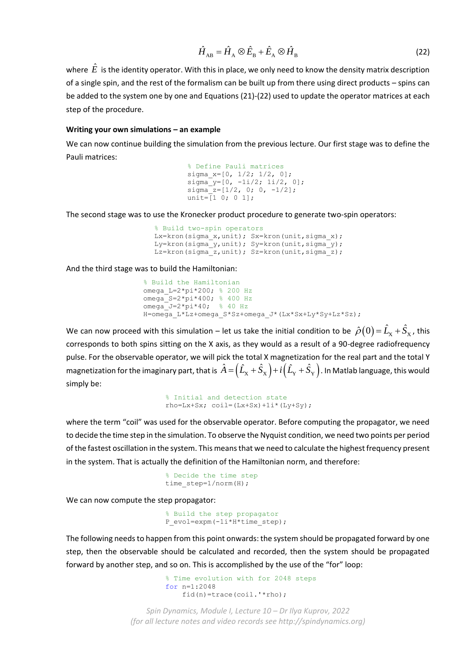$$
\hat{H}_{AB} = \hat{H}_A \otimes \hat{E}_B + \hat{E}_A \otimes \hat{H}_B
$$
\n(22)

where  $\,\hat{E}\,$  is the identity operator. With this in place, we only need to know the density matrix description of a single spin, and the rest of the formalism can be built up from there using direct products – spins can be added to the system one by one and Equations (21)-(22) used to update the operator matrices at each step of the procedure.

### **Writing your own simulations – an example**

We can now continue building the simulation from the previous lecture. Our first stage was to define the Pauli matrices:

```
% Define Pauli matrices
sigma_x=[0, 1/2; 1/2, 0];
signa^{-}y=[0, -1i/2; 1i/2, 0];signa<sub>z=[1/2, 0; 0, -1/2];</sub>
unit=\bar{1} 0; 0 1];
```
The second stage was to use the Kronecker product procedure to generate two-spin operators:

```
% Build two-spin operators
Lx=kron(sigma_x,unit); Sx=kron(unit,sigma_x);
Ly=kron(sigma_y,unit); Sy=kron(unit,sigma_y);
Lz=kron(sigma_z,unit); Sz=kron(unit,sigma_z);
```
And the third stage was to build the Hamiltonian:

```
% Build the Hamiltonian
omega_L=2*pi*200; % 200 Hz
omega_S=2*pi*400; % 400 Hz
omega J=2*pi*40; % 40 Hz
H=omega L*Lz+omega S*Sz+omega J*(Lx*Sx+Ly*Sy+Lz*Sz);
```
We can now proceed with this simulation – let us take the initial condition to be  $\hat{\rho}(0)$  =  $\hat{L}_x$  +  $\hat{S}_x$  , this corresponds to both spins sitting on the X axis, as they would as a result of a 90-degree radiofrequency pulse. For the observable operator, we will pick the total X magnetization for the real part and the total Y magnetization for the imaginary part, that is  $\hat A=\Bigr(\hat L_\mathrm{x}+\hat S_\mathrm{x}\Bigr)+i\Bigr(\hat L_\mathrm{Y}+\hat S_\mathrm{Y}\Bigr)$ . In Matlab language, this would simply be:

```
% Initial and detection state
rho=Lx+Sx; coil=(Lx+Sx)+1i*(Ly+Sy);
```
where the term "coil" was used for the observable operator. Before computing the propagator, we need to decide the time step in the simulation. To observe the Nyquist condition, we need two points per period of the fastest oscillation in the system. This means that we need to calculate the highest frequency present in the system. That is actually the definition of the Hamiltonian norm, and therefore:

```
% Decide the time step
time_step=1/norm(H);
```
We can now compute the step propagator:

% Build the step propagator P\_evol=expm(-1i\*H\*time\_step);

The following needs to happen from this point onwards: the system should be propagated forward by one step, then the observable should be calculated and recorded, then the system should be propagated forward by another step, and so on. This is accomplished by the use of the "for" loop:

```
% Time evolution with for 2048 steps
for n=1:2048
    fid(n)=trace(coil.'*rho);
```
*Spin Dynamics, Module I, Lecture 10 – Dr Ilya Kuprov, 2022 (for all lecture notes and video records see http://spindynamics.org)*